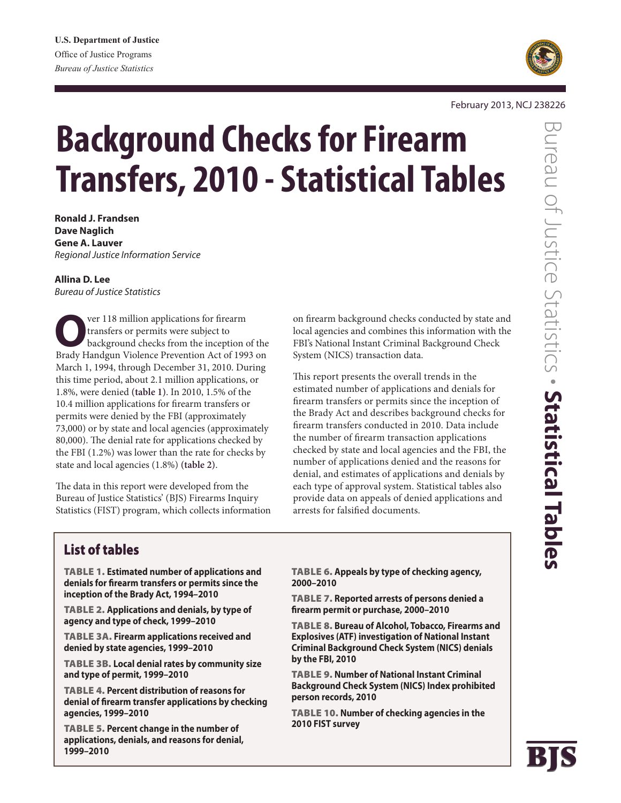

#### February 2013, NCJ 238226

# **Background Checks for Firearm Transfers, 2010 - Statistical Tables**

**Ronald J. Frandsen Dave Naglich Gene A. Lauver** *Regional Justice Information Service*

# **Allina D. Lee**

*Bureau of Justice Statistics*

**O**ver 118 million applications for firearm<br>
transfers or permits were subject to<br>
background checks from the inception of the<br>
Brody Handaun Violence Prevention Act of 1993 on transfers or permits were subject to Brady Handgun Violence Prevention Act of 1993 on March 1, 1994, through December 31, 2010. During this time period, about 2.1 million applications, or 1.8%, were denied **(table 1)**. In 2010, 1.5% of the 10.4 million applications for firearm transfers or permits were denied by the FBI (approximately 73,000) or by state and local agencies (approximately 80,000). The denial rate for applications checked by the FBI (1.2%) was lower than the rate for checks by state and local agencies (1.8%) **(table 2)**.

The data in this report were developed from the Bureau of Justice Statistics' (BJS) Firearms Inquiry Statistics (FIST) program, which collects information on firearm background checks conducted by state and local agencies and combines this information with the FBI's National Instant Criminal Background Check System (NICS) transaction data.

This report presents the overall trends in the estimated number of applications and denials for firearm transfers or permits since the inception of the Brady Act and describes background checks for firearm transfers conducted in 2010. Data include the number of firearm transaction applications checked by state and local agencies and the FBI, the number of applications denied and the reasons for denial, and estimates of applications and denials by each type of approval system. Statistical tables also provide data on appeals of denied applications and arrests for falsified documents.

# List of tables

Table 1. **Estimated number of applications and denials for firearm transfers or permits since the inception of the Brady Act, 1994–2010**

Table 2. **Applications and denials, by type of agency and type of check, 1999–2010**

Table 3a. **Firearm applications received and denied by state agencies, 1999–2010**

Table 3b. **Local denial rates by community size and type of permit, 1999–2010**

Table 4. **Percent distribution of reasons for denial of firearm transfer applications by checking agencies, 1999–2010**

Table 5. **Percent change in the number of applications, denials, and reasons for denial, 1999–2010**

Table 6. **Appeals by type of checking agency, 2000–2010**

Table 7. **Reported arrests of persons denied a firearm permit or purchase, 2000–2010**

Table 8. **Bureau of Alcohol, Tobacco, Firearms and Explosives (ATF) investigation of National Instant Criminal Background Check System (NICS) denials by the FBI, 2010**

Table 9. **Number of National Instant Criminal Background Check System (NICS) Index prohibited person records, 2010**

Table 10. **Number of checking agencies in the 2010 FIST survey**

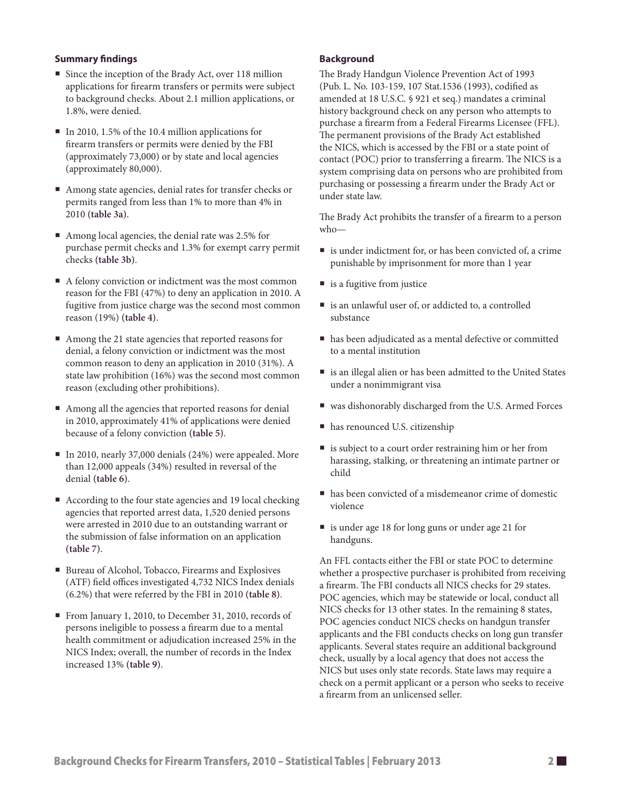### **Summary findings**

- Since the inception of the Brady Act, over 118 million applications for firearm transfers or permits were subject to background checks. About 2.1 million applications, or 1.8%, were denied.
- In 2010, 1.5% of the 10.4 million applications for firearm transfers or permits were denied by the FBI (approximately 73,000) or by state and local agencies (approximately 80,000).
- Among state agencies, denial rates for transfer checks or permits ranged from less than 1% to more than 4% in 2010 **(table 3a)**.
- Among local agencies, the denial rate was 2.5% for purchase permit checks and 1.3% for exempt carry permit checks **(table 3b)**.
- A felony conviction or indictment was the most common reason for the FBI (47%) to deny an application in 2010. A fugitive from justice charge was the second most common reason (19%) **(table 4)**.
- Among the 21 state agencies that reported reasons for denial, a felony conviction or indictment was the most common reason to deny an application in 2010 (31%). A state law prohibition (16%) was the second most common reason (excluding other prohibitions).
- Among all the agencies that reported reasons for denial in 2010, approximately 41% of applications were denied because of a felony conviction **(table 5)**.
- In 2010, nearly 37,000 denials (24%) were appealed. More than 12,000 appeals (34%) resulted in reversal of the denial **(table 6)**.
- According to the four state agencies and 19 local checking agencies that reported arrest data, 1,520 denied persons were arrested in 2010 due to an outstanding warrant or the submission of false information on an application **(table 7)**.
- Bureau of Alcohol, Tobacco, Firearms and Explosives (ATF) field offices investigated 4,732 NICS Index denials (6.2%) that were referred by the FBI in 2010 **(table 8)**.
- From January 1, 2010, to December 31, 2010, records of persons ineligible to possess a firearm due to a mental health commitment or adjudication increased 25% in the NICS Index; overall, the number of records in the Index increased 13% **(table 9)**.

#### **Background**

The Brady Handgun Violence Prevention Act of 1993 (Pub. L. No. 103-159, 107 Stat.1536 (1993), codified as amended at 18 U.S.C. § 921 et seq.) mandates a criminal history background check on any person who attempts to purchase a firearm from a Federal Firearms Licensee (FFL). The permanent provisions of the Brady Act established the NICS, which is accessed by the FBI or a state point of contact (POC) prior to transferring a firearm. The NICS is a system comprising data on persons who are prohibited from purchasing or possessing a firearm under the Brady Act or under state law.

The Brady Act prohibits the transfer of a firearm to a person who—

- is under indictment for, or has been convicted of, a crime punishable by imprisonment for more than 1 year
- is a fugitive from justice
- is an unlawful user of, or addicted to, a controlled substance
- has been adjudicated as a mental defective or committed to a mental institution
- is an illegal alien or has been admitted to the United States under a nonimmigrant visa
- was dishonorably discharged from the U.S. Armed Forces
- has renounced U.S. citizenship
- is subject to a court order restraining him or her from harassing, stalking, or threatening an intimate partner or child
- has been convicted of a misdemeanor crime of domestic violence
- is under age 18 for long guns or under age 21 for handguns.

An FFL contacts either the FBI or state POC to determine whether a prospective purchaser is prohibited from receiving a firearm. The FBI conducts all NICS checks for 29 states. POC agencies, which may be statewide or local, conduct all NICS checks for 13 other states. In the remaining 8 states, POC agencies conduct NICS checks on handgun transfer applicants and the FBI conducts checks on long gun transfer applicants. Several states require an additional background check, usually by a local agency that does not access the NICS but uses only state records. State laws may require a check on a permit applicant or a person who seeks to receive a firearm from an unlicensed seller.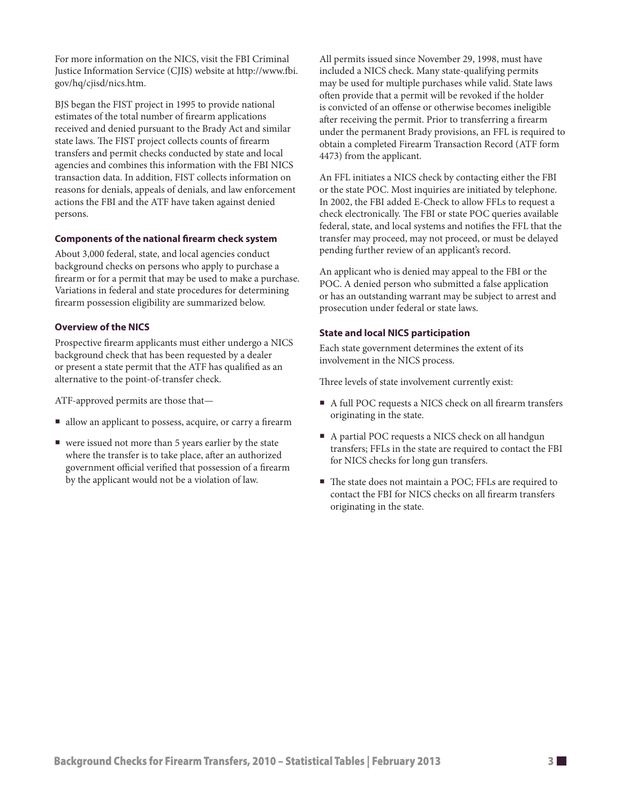For more information on the NICS, visit the FBI Criminal Justice Information Service (CJIS) website at http://www.fbi. gov/hq/cjisd/nics.htm.

BJS began the FIST project in 1995 to provide national estimates of the total number of firearm applications received and denied pursuant to the Brady Act and similar state laws. The FIST project collects counts of firearm transfers and permit checks conducted by state and local agencies and combines this information with the FBI NICS transaction data. In addition, FIST collects information on reasons for denials, appeals of denials, and law enforcement actions the FBI and the ATF have taken against denied persons.

#### **Components of the national firearm check system**

About 3,000 federal, state, and local agencies conduct background checks on persons who apply to purchase a firearm or for a permit that may be used to make a purchase. Variations in federal and state procedures for determining firearm possession eligibility are summarized below.

#### **Overview of the NICS**

Prospective firearm applicants must either undergo a NICS background check that has been requested by a dealer or present a state permit that the ATF has qualified as an alternative to the point-of-transfer check.

ATF-approved permits are those that—

- allow an applicant to possess, acquire, or carry a firearm
- were issued not more than 5 years earlier by the state where the transfer is to take place, after an authorized government official verified that possession of a firearm by the applicant would not be a violation of law.

All permits issued since November 29, 1998, must have included a NICS check. Many state-qualifying permits may be used for multiple purchases while valid. State laws often provide that a permit will be revoked if the holder is convicted of an offense or otherwise becomes ineligible after receiving the permit. Prior to transferring a firearm under the permanent Brady provisions, an FFL is required to obtain a completed Firearm Transaction Record (ATF form 4473) from the applicant.

An FFL initiates a NICS check by contacting either the FBI or the state POC. Most inquiries are initiated by telephone. In 2002, the FBI added E-Check to allow FFLs to request a check electronically. The FBI or state POC queries available federal, state, and local systems and notifies the FFL that the transfer may proceed, may not proceed, or must be delayed pending further review of an applicant's record.

An applicant who is denied may appeal to the FBI or the POC. A denied person who submitted a false application or has an outstanding warrant may be subject to arrest and prosecution under federal or state laws.

#### **State and local NICS participation**

Each state government determines the extent of its involvement in the NICS process.

Three levels of state involvement currently exist:

- A full POC requests a NICS check on all firearm transfers originating in the state.
- A partial POC requests a NICS check on all handgun transfers; FFLs in the state are required to contact the FBI for NICS checks for long gun transfers.
- The state does not maintain a POC: FFLs are required to contact the FBI for NICS checks on all firearm transfers originating in the state.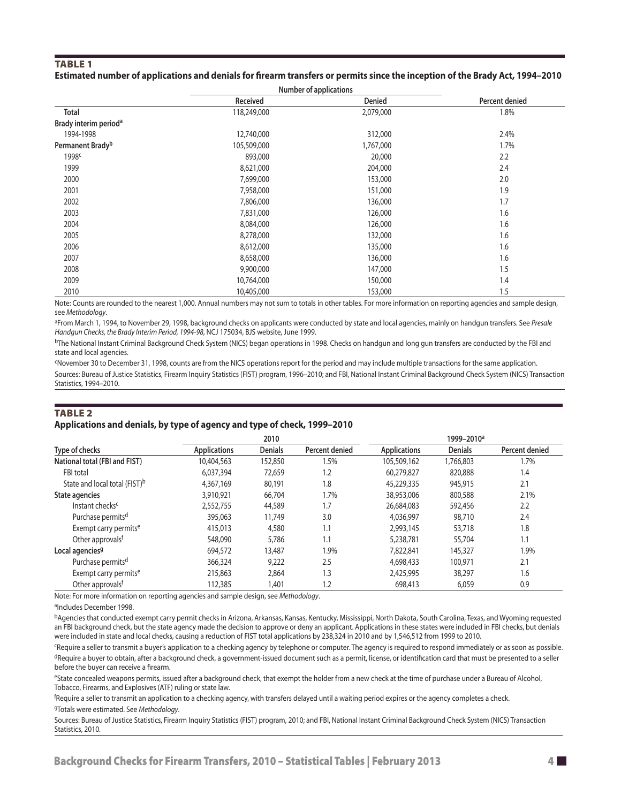#### **TABLE 1 Estimated number of applications and denials for firearm transfers or permits since the inception of the Brady Act, 1994–2010**

|                                   | Number of applications |           |                |
|-----------------------------------|------------------------|-----------|----------------|
|                                   | Received               | Denied    | Percent denied |
| <b>Total</b>                      | 118,249,000            | 2,079,000 | 1.8%           |
| Brady interim period <sup>a</sup> |                        |           |                |
| 1994-1998                         | 12,740,000             | 312,000   | 2.4%           |
| Permanent Brady <sup>b</sup>      | 105,509,000            | 1,767,000 | 1.7%           |
| 1998 <sup>c</sup>                 | 893,000                | 20,000    | 2.2            |
| 1999                              | 8,621,000              | 204,000   | 2.4            |
| 2000                              | 7,699,000              | 153,000   | 2.0            |
| 2001                              | 7,958,000              | 151,000   | 1.9            |
| 2002                              | 7,806,000              | 136,000   | 1.7            |
| 2003                              | 7,831,000              | 126,000   | 1.6            |
| 2004                              | 8,084,000              | 126,000   | 1.6            |
| 2005                              | 8,278,000              | 132,000   | 1.6            |
| 2006                              | 8,612,000              | 135,000   | 1.6            |
| 2007                              | 8,658,000              | 136,000   | 1.6            |
| 2008                              | 9,900,000              | 147,000   | 1.5            |
| 2009                              | 10,764,000             | 150,000   | 1.4            |
| 2010                              | 10,405,000             | 153,000   | 1.5            |

Note: Counts are rounded to the nearest 1,000. Annual numbers may not sum to totals in other tables. For more information on reporting agencies and sample design, see *Methodology*.

aFrom March 1, 1994, to November 29, 1998, background checks on applicants were conducted by state and local agencies, mainly on handgun transfers. See *Presale Handgun Checks, the Brady Interim Period, 1994-98*, NCJ 175034, BJS website, June 1999.

bThe National Instant Criminal Background Check System (NICS) began operations in 1998. Checks on handgun and long gun transfers are conducted by the FBI and state and local agencies.

cNovember 30 to December 31, 1998, counts are from the NICS operations report for the period and may include multiple transactions for the same application. Sources: Bureau of Justice Statistics, Firearm Inquiry Statistics (FIST) program, 1996–2010; and FBI, National Instant Criminal Background Check System (NICS) Transaction Statistics, 1994–2010.

# TABLE<sub>2</sub>

#### **Applications and denials, by type of agency and type of check, 1999–2010**

|                                           |                     | 2010           |                |                     | 1999-2010 <sup>a</sup> |                |
|-------------------------------------------|---------------------|----------------|----------------|---------------------|------------------------|----------------|
| Type of checks                            | <b>Applications</b> | <b>Denials</b> | Percent denied | <b>Applications</b> | <b>Denials</b>         | Percent denied |
| National total (FBI and FIST)             | 10,404,563          | 152,850        | 1.5%           | 105,509,162         | 1,766,803              | 1.7%           |
| FBI total                                 | 6,037,394           | 72,659         | 1.2            | 60,279,827          | 820,888                | 1.4            |
| State and local total (FIST) <sup>b</sup> | 4,367,169           | 80,191         | 1.8            | 45,229,335          | 945,915                | 2.1            |
| State agencies                            | 3,910,921           | 66,704         | 1.7%           | 38,953,006          | 800,588                | 2.1%           |
| Instant checks <sup>c</sup>               | 2,552,755           | 44,589         | 1.7            | 26,684,083          | 592,456                | 2.2            |
| Purchase permits <sup>d</sup>             | 395,063             | 11,749         | 3.0            | 4,036,997           | 98,710                 | 2.4            |
| Exempt carry permits <sup>e</sup>         | 415,013             | 4,580          | 1.1            | 2,993,145           | 53,718                 | 1.8            |
| Other approvals <sup>f</sup>              | 548,090             | 5,786          | 1.1            | 5,238,781           | 55,704                 | 1.1            |
| Local agencies <sup>9</sup>               | 694,572             | 13,487         | 1.9%           | 7,822,841           | 145,327                | 1.9%           |
| Purchase permits <sup>d</sup>             | 366,324             | 9,222          | 2.5            | 4,698,433           | 100.971                | 2.1            |
| Exempt carry permits <sup>e</sup>         | 215,863             | 2,864          | 1.3            | 2,425,995           | 38,297                 | 1.6            |
| Other approvals <sup>t</sup>              | 112,385             | 1,401          | 1.2            | 698,413             | 6,059                  | 0.9            |

Note: For more information on reporting agencies and sample design, see *Methodology*.

bAgencies that conducted exempt carry permit checks in Arizona, Arkansas, Kansas, Kentucky, Mississippi, North Dakota, South Carolina, Texas, and Wyoming requested an FBI background check, but the state agency made the decision to approve or deny an applicant. Applications in these states were included in FBI checks, but denials were included in state and local checks, causing a reduction of FIST total applications by 238,324 in 2010 and by 1,546,512 from 1999 to 2010.

cRequire a seller to transmit a buyer's application to a checking agency by telephone or computer. The agency is required to respond immediately or as soon as possible. dRequire a buyer to obtain, after a background check, a government-issued document such as a permit, license, or identification card that must be presented to a seller before the buyer can receive a firearm.

eState concealed weapons permits, issued after a background check, that exempt the holder from a new check at the time of purchase under a Bureau of Alcohol, Tobacco, Firearms, and Explosives (ATF) ruling or state law.

f Require a seller to transmit an application to a checking agency, with transfers delayed until a waiting period expires or the agency completes a check. gTotals were estimated. See *Methodology*.

Sources: Bureau of Justice Statistics, Firearm Inquiry Statistics (FIST) program, 2010; and FBI, National Instant Criminal Background Check System (NICS) Transaction Statistics, 2010.

aIncludes December 1998.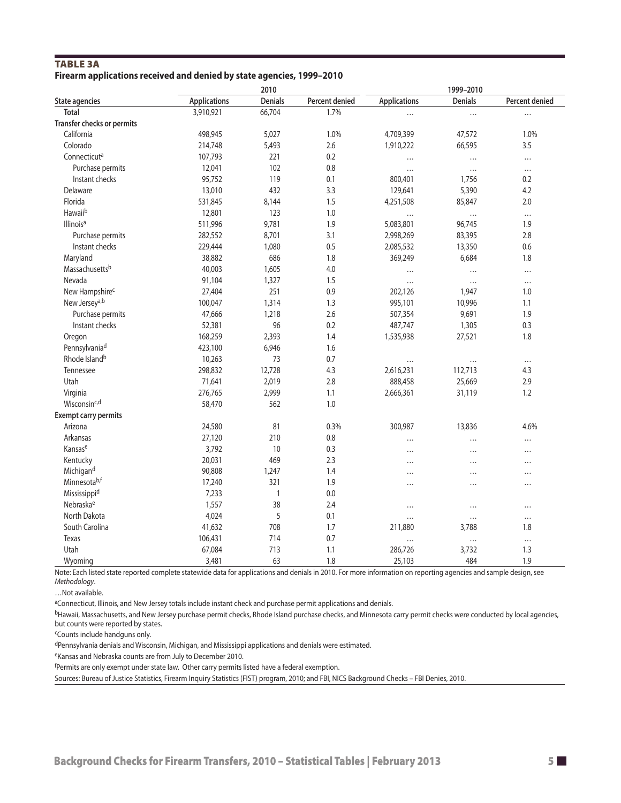# **TABLE 3A Firearm applications received and denied by state agencies, 1999–2010**

|                             | 2010                |              |                | 1999-2010           |                |                |  |
|-----------------------------|---------------------|--------------|----------------|---------------------|----------------|----------------|--|
| <b>State agencies</b>       | <b>Applications</b> | Denials      | Percent denied | <b>Applications</b> | <b>Denials</b> | Percent denied |  |
| <b>Total</b>                | 3,910,921           | 66,704       | 1.7%           | $\cdots$            | $\cdots$       | $\cdots$       |  |
| Transfer checks or permits  |                     |              |                |                     |                |                |  |
| California                  | 498,945             | 5,027        | 1.0%           | 4,709,399           | 47,572         | 1.0%           |  |
| Colorado                    | 214,748             | 5,493        | 2.6            | 1,910,222           | 66,595         | 3.5            |  |
| Connecticut <sup>a</sup>    | 107,793             | 221          | 0.2            | .                   | $\cdots$       | $\cdots$       |  |
| Purchase permits            | 12,041              | 102          | 0.8            | $\cdots$            | $\cdots$       | $\cdots$       |  |
| Instant checks              | 95,752              | 119          | 0.1            | 800,401             | 1,756          | 0.2            |  |
| Delaware                    | 13,010              | 432          | 3.3            | 129,641             | 5,390          | 4.2            |  |
| Florida                     | 531,845             | 8,144        | 1.5            | 4,251,508           | 85,847         | 2.0            |  |
| Hawaiib                     | 12,801              | 123          | 1.0            | .                   | $\cdots$       | $\ldots$       |  |
| Illinois <sup>a</sup>       | 511,996             | 9,781        | 1.9            | 5,083,801           | 96,745         | 1.9            |  |
| Purchase permits            | 282,552             | 8,701        | 3.1            | 2,998,269           | 83,395         | 2.8            |  |
| Instant checks              | 229,444             | 1,080        | 0.5            | 2,085,532           | 13,350         | 0.6            |  |
| Maryland                    | 38,882              | 686          | 1.8            | 369,249             | 6,684          | 1.8            |  |
| Massachusettsb              | 40,003              | 1,605        | 4.0            |                     | $\cdots$       | $\cdots$       |  |
| Nevada                      | 91,104              | 1,327        | 1.5            |                     | $\cdots$       | $\cdots$       |  |
| New Hampshire <sup>c</sup>  | 27,404              | 251          | 0.9            | 202,126             | 1,947          | 1.0            |  |
| New Jersey <sup>a,b</sup>   | 100,047             | 1,314        | 1.3            | 995,101             | 10,996         | 1.1            |  |
| Purchase permits            | 47,666              | 1,218        | 2.6            | 507,354             | 9,691          | 1.9            |  |
| Instant checks              | 52,381              | 96           | 0.2            | 487,747             | 1,305          | 0.3            |  |
| Oregon                      | 168,259             | 2,393        | 1.4            | 1,535,938           | 27,521         | 1.8            |  |
| Pennsylvaniad               | 423,100             | 6,946        | 1.6            |                     |                |                |  |
| Rhode Island <sup>b</sup>   | 10,263              | 73           | 0.7            |                     | $\cdots$       | $\cdots$       |  |
| Tennessee                   | 298,832             | 12,728       | 4.3            | 2,616,231           | 112,713        | 4.3            |  |
| Utah                        | 71,641              | 2,019        | 2.8            | 888,458             | 25,669         | 2.9            |  |
| Virginia                    | 276,765             | 2,999        | 1.1            | 2,666,361           | 31,119         | 1.2            |  |
| Wisconsinc,d                | 58,470              | 562          | 1.0            |                     |                |                |  |
| <b>Exempt carry permits</b> |                     |              |                |                     |                |                |  |
| Arizona                     | 24,580              | 81           | 0.3%           | 300,987             | 13,836         | 4.6%           |  |
| Arkansas                    | 27,120              | 210          | 0.8            |                     | $\cdots$       | $\cdots$       |  |
| Kansase                     | 3,792               | 10           | 0.3            | .                   | $\cdots$       |                |  |
| Kentucky                    | 20,031              | 469          | 2.3            |                     | $\cdots$       |                |  |
| Michigand                   | 90,808              | 1,247        | 1.4            | $\cdots$            |                |                |  |
| Minnesotab,f                | 17,240              | 321          | 1.9            | $\cdots$            | .              | $\cdots$       |  |
| Mississippid                | 7,233               | $\mathbf{1}$ | 0.0            |                     |                |                |  |
| Nebraska <sup>e</sup>       | 1,557               | 38           | 2.4            | $\cdots$            | $\cdots$       |                |  |
| North Dakota                | 4,024               | 5            | 0.1            |                     | $\cdots$       | $\cdots$       |  |
| South Carolina              | 41,632              | 708          | 1.7            | 211,880             | 3,788          | 1.8            |  |
| Texas                       | 106,431             | 714          | 0.7            |                     | $\cdots$       | $\cdots$       |  |
| Utah                        | 67,084              | 713          | 1.1            | 286,726             | 3,732          | 1.3            |  |
| Wyoming                     | 3,481               | 63           | 1.8            | 25,103              | 484            | 1.9            |  |

Note: Each listed state reported complete statewide data for applications and denials in 2010. For more information on reporting agencies and sample design, see *Methodology*.

…Not available.

aConnecticut, Illinois, and New Jersey totals include instant check and purchase permit applications and denials.

bHawaii, Massachusetts, and New Jersey purchase permit checks, Rhode Island purchase checks, and Minnesota carry permit checks were conducted by local agencies, but counts were reported by states.

cCounts include handguns only.

dPennsylvania denials and Wisconsin, Michigan, and Mississippi applications and denials were estimated.

eKansas and Nebraska counts are from July to December 2010.

<sup>f</sup>Permits are only exempt under state law. Other carry permits listed have a federal exemption.

Sources: Bureau of Justice Statistics, Firearm Inquiry Statistics (FIST) program, 2010; and FBI, NICS Background Checks – FBI Denies, 2010.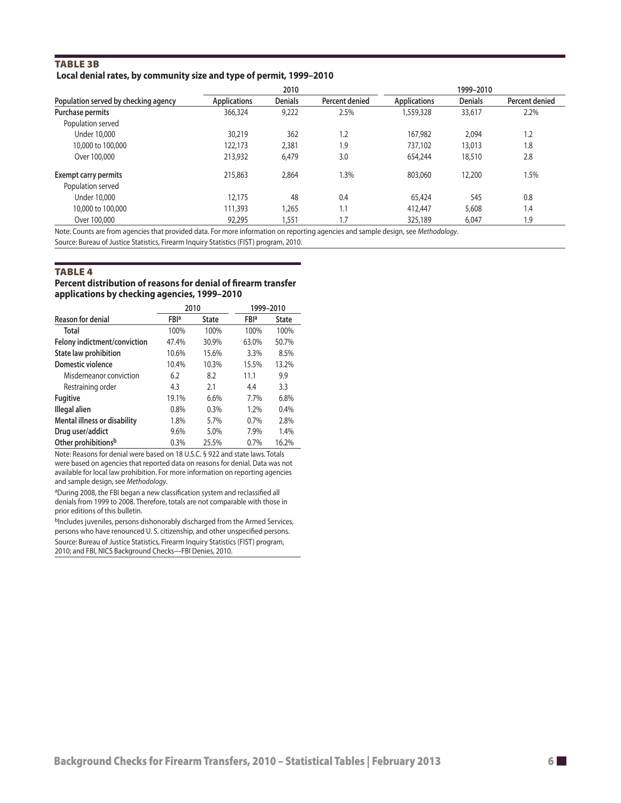# Table 3b  **Local denial rates, by community size and type of permit, 1999–2010**

|                                      | 2010                |                |                | 1999-2010           |                |                |  |
|--------------------------------------|---------------------|----------------|----------------|---------------------|----------------|----------------|--|
| Population served by checking agency | <b>Applications</b> | <b>Denials</b> | Percent denied | <b>Applications</b> | <b>Denials</b> | Percent denied |  |
| Purchase permits                     | 366,324             | 9,222          | 2.5%           | 1,559,328           | 33,617         | 2.2%           |  |
| Population served                    |                     |                |                |                     |                |                |  |
| Under 10,000                         | 30,219              | 362            | 1.2            | 167,982             | 2.094          | 1.2            |  |
| 10,000 to 100,000                    | 122,173             | 2,381          | 1.9            | 737,102             | 13,013         | 1.8            |  |
| Over 100,000                         | 213,932             | 6,479          | 3.0            | 654,244             | 18,510         | 2.8            |  |
| <b>Exempt carry permits</b>          | 215,863             | 2,864          | 1.3%           | 803,060             | 12,200         | 1.5%           |  |
| Population served                    |                     |                |                |                     |                |                |  |
| Under 10,000                         | 12,175              | 48             | 0.4            | 65,424              | 545            | 0.8            |  |
| 10,000 to 100,000                    | 111,393             | ,265           | 1.1            | 412,447             | 5,608          | 1.4            |  |
| Over 100,000                         | 92.295              | .551           | 1.7            | 325,189             | 6.047          | 1.9            |  |

Note: Counts are from agencies that provided data. For more information on reporting agencies and sample design, see *Methodology*.

Source: Bureau of Justice Statistics, Firearm Inquiry Statistics (FIST) program, 2010.

# **TABLE 4**

#### **Percent distribution of reasons for denial of firearm transfer applications by checking agencies, 1999–2010**

|                                     | 2010                    |              |                         | 1999-2010    |
|-------------------------------------|-------------------------|--------------|-------------------------|--------------|
| <b>Reason for denial</b>            | <b>FBI</b> <sup>a</sup> | <b>State</b> | <b>FBI</b> <sup>a</sup> | <b>State</b> |
| Total                               | 100%                    | 100%         | 100%                    | 100%         |
| Felony indictment/conviction        | 47.4%                   | 30.9%        | 63.0%                   | 50.7%        |
| State law prohibition               | 10.6%                   | 15.6%        | 3.3%                    | 8.5%         |
| Domestic violence                   | 10.4%                   | 10.3%        | 15.5%                   | 13.2%        |
| Misdemeanor conviction              | 6.2                     | 8.2          | 11.1                    | 9.9          |
| Restraining order                   | 4.3                     | 2.1          | 4.4                     | 3.3          |
| <b>Fugitive</b>                     | 19.1%                   | 6.6%         | 7.7%                    | 6.8%         |
| Illegal alien                       | 0.8%                    | 0.3%         | 1.2%                    | 0.4%         |
| <b>Mental illness or disability</b> | 1.8%                    | 5.7%         | 0.7%                    | 2.8%         |
| Drug user/addict                    | 9.6%                    | 5.0%         | 7.9%                    | 1.4%         |
| Other prohibitions <sup>b</sup>     | 0.3%                    | 25.5%        | 0.7%                    | 16.2%        |

Note: Reasons for denial were based on 18 U.S.C. § 922 and state laws. Totals were based on agencies that reported data on reasons for denial. Data was not available for local law prohibition. For more information on reporting agencies and sample design, see *Methodology*.

aDuring 2008, the FBI began a new classification system and reclassified all denials from 1999 to 2008. Therefore, totals are not comparable with those in prior editions of this bulletin.

bIncludes juveniles, persons dishonorably discharged from the Armed Services, persons who have renounced U. S. citizenship, and other unspecified persons. Source: Bureau of Justice Statistics, Firearm Inquiry Statistics (FIST) program, 2010; and FBI, NICS Background Checks—FBI Denies, 2010.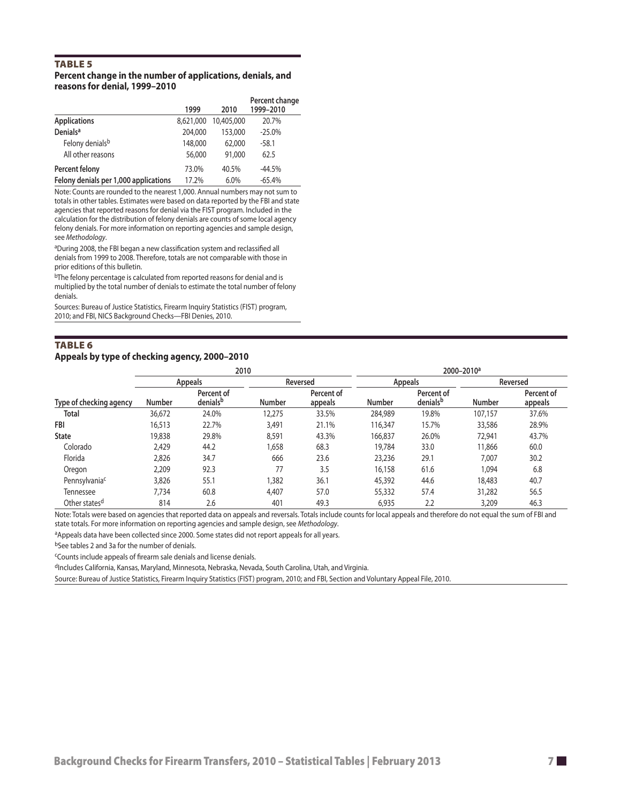# TABLE<sub>5</sub>

### **Percent change in the number of applications, denials, and reasons for denial, 1999–2010**

|                                       | 1999      | 2010       | Percent change<br>1999-2010 |
|---------------------------------------|-----------|------------|-----------------------------|
| <b>Applications</b>                   | 8.621.000 | 10,405,000 | 20.7%                       |
| <b>Denials<sup>a</sup></b>            | 204,000   | 153,000    | $-25.0%$                    |
| Felony denials <sup>b</sup>           | 148,000   | 62,000     | $-58.1$                     |
| All other reasons                     | 56,000    | 91,000     | 62.5                        |
| Percent felony                        | 73.0%     | 40.5%      | $-44.5%$                    |
| Felony denials per 1,000 applications | 17.2%     | 6.0%       | $-65.4%$                    |

Note: Counts are rounded to the nearest 1,000. Annual numbers may not sum to totals in other tables. Estimates were based on data reported by the FBI and state agencies that reported reasons for denial via the FIST program. Included in the calculation for the distribution of felony denials are counts of some local agency felony denials. For more information on reporting agencies and sample design, see *Methodology*.

aDuring 2008, the FBI began a new classification system and reclassified all denials from 1999 to 2008. Therefore, totals are not comparable with those in prior editions of this bulletin.

bThe felony percentage is calculated from reported reasons for denial and is multiplied by the total number of denials to estimate the total number of felony denials.

Sources: Bureau of Justice Statistics, Firearm Inquiry Statistics (FIST) program, 2010; and FBI, NICS Background Checks—FBI Denies, 2010.

# Table 6 **Appeals by type of checking agency, 2000–2010**

|                           | 2010          |                        |        | 2000-2010 <sup>a</sup> |               |                        |               |                       |
|---------------------------|---------------|------------------------|--------|------------------------|---------------|------------------------|---------------|-----------------------|
|                           |               | Appeals                |        | Reversed               |               | Appeals                |               | Reversed              |
| Type of checking agency   | <b>Number</b> | Percent of<br>denialsb | Number | Percent of<br>appeals  | <b>Number</b> | Percent of<br>denialsb | <b>Number</b> | Percent of<br>appeals |
| Total                     | 36,672        | 24.0%                  | 12,275 | 33.5%                  | 284,989       | 19.8%                  | 107,157       | 37.6%                 |
| FBI                       | 16,513        | 22.7%                  | 3,491  | 21.1%                  | 116,347       | 15.7%                  | 33,586        | 28.9%                 |
| <b>State</b>              | 19,838        | 29.8%                  | 8,591  | 43.3%                  | 166,837       | 26.0%                  | 72,941        | 43.7%                 |
| Colorado                  | 2,429         | 44.2                   | 1,658  | 68.3                   | 19,784        | 33.0                   | 11,866        | 60.0                  |
| Florida                   | 2,826         | 34.7                   | 666    | 23.6                   | 23,236        | 29.1                   | 7.007         | 30.2                  |
| Oregon                    | 2,209         | 92.3                   | 77     | 3.5                    | 16,158        | 61.6                   | 1.094         | 6.8                   |
| Pennsylvania <sup>c</sup> | 3,826         | 55.1                   | 1,382  | 36.1                   | 45,392        | 44.6                   | 18,483        | 40.7                  |
| Tennessee                 | 7.734         | 60.8                   | 4,407  | 57.0                   | 55,332        | 57.4                   | 31,282        | 56.5                  |
| Other states <sup>d</sup> | 814           | 2.6                    | 401    | 49.3                   | 6,935         | 2.2                    | 3,209         | 46.3                  |

Note: Totals were based on agencies that reported data on appeals and reversals. Totals include counts for local appeals and therefore do not equal the sum of FBI and state totals. For more information on reporting agencies and sample design, see *Methodology*.

aAppeals data have been collected since 2000. Some states did not report appeals for all years.

bSee tables 2 and 3a for the number of denials.

cCounts include appeals of firearm sale denials and license denials.

dIncludes California, Kansas, Maryland, Minnesota, Nebraska, Nevada, South Carolina, Utah, and Virginia.

Source: Bureau of Justice Statistics, Firearm Inquiry Statistics (FIST) program, 2010; and FBI, Section and Voluntary Appeal File, 2010.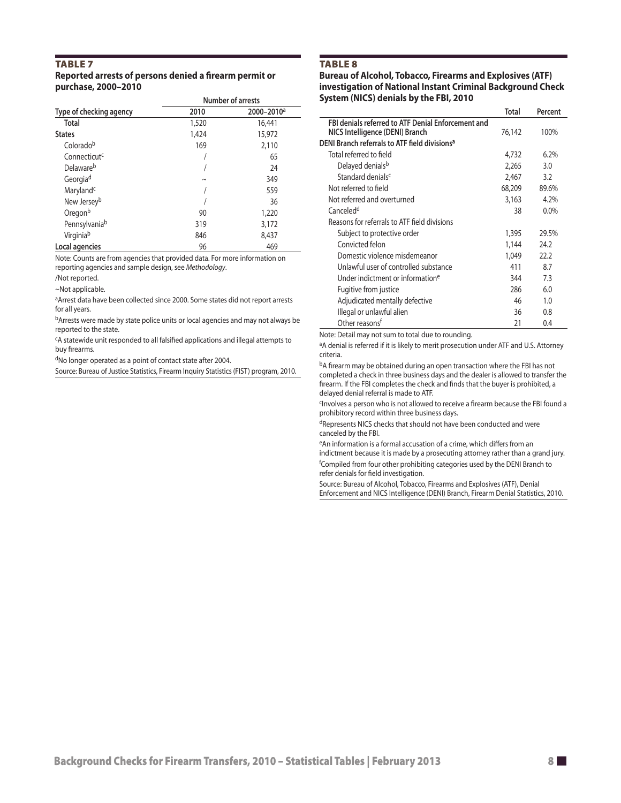#### TABLE<sub>7</sub> **Reported arrests of persons denied a firearm permit or purchase, 2000–2010**

|                          | Number of arrests |                        |  |  |
|--------------------------|-------------------|------------------------|--|--|
| Type of checking agency  | 2010              | 2000-2010 <sup>a</sup> |  |  |
| <b>Total</b>             | 1,520             | 16,441                 |  |  |
| <b>States</b>            | 1,424             | 15,972                 |  |  |
| Coloradob                | 169               | 2,110                  |  |  |
| Connecticut <sup>c</sup> |                   | 65                     |  |  |
| Delaware <sup>b</sup>    |                   | 24                     |  |  |
| Georgiad                 | $\sim$            | 349                    |  |  |
| Maryland <sup>c</sup>    |                   | 559                    |  |  |
| New Jersey <sup>b</sup>  |                   | 36                     |  |  |
| Oregonb                  | 90                | 1,220                  |  |  |
| Pennsylvaniab            | 319               | 3,172                  |  |  |
| Virginiab                | 846               | 8,437                  |  |  |
| Local agencies           | 96                | 469                    |  |  |

Note: Counts are from agencies that provided data. For more information on reporting agencies and sample design, see *Methodology*.

/Not reported.

~Not applicable.

aArrest data have been collected since 2000. Some states did not report arrests for all years.

bArrests were made by state police units or local agencies and may not always be reported to the state.

cA statewide unit responded to all falsified applications and illegal attempts to buy firearms.

dNo longer operated as a point of contact state after 2004.

Source: Bureau of Justice Statistics, Firearm Inquiry Statistics (FIST) program, 2010.

#### **TABLE 8**

#### **Bureau of Alcohol, Tobacco, Firearms and Explosives (ATF) investigation of National Instant Criminal Background Check System (NICS) denials by the FBI, 2010**

|                                                           | Total  | Percent |
|-----------------------------------------------------------|--------|---------|
| FBI denials referred to ATF Denial Enforcement and        |        |         |
| NICS Intelligence (DENI) Branch                           | 76,142 | 100%    |
| DENI Branch referrals to ATF field divisions <sup>a</sup> |        |         |
| Total referred to field                                   | 4,732  | 6.2%    |
| Delayed denials <sup>b</sup>                              | 2,265  | 3.0     |
| Standard denials <sup>c</sup>                             | 2,467  | 3.2     |
| Not referred to field                                     | 68,209 | 89.6%   |
| Not referred and overturned                               | 3,163  | 4.2%    |
| Canceled <sup>d</sup>                                     | 38     | $0.0\%$ |
| Reasons for referrals to ATF field divisions              |        |         |
| Subject to protective order                               | 1,395  | 29.5%   |
| Convicted felon                                           | 1,144  | 24.2    |
| Domestic violence misdemeanor                             | 1.049  | 22.2    |
| Unlawful user of controlled substance                     | 411    | 8.7     |
| Under indictment or information <sup>e</sup>              | 344    | 7.3     |
| Fugitive from justice                                     | 286    | 60      |
| Adjudicated mentally defective                            | 46     | 1.0     |
| Illegal or unlawful alien                                 | 36     | 0.8     |
| Other reasons <sup>f</sup>                                | 21     | 0.4     |

Note: Detail may not sum to total due to rounding.

<sup>a</sup>A denial is referred if it is likely to merit prosecution under ATF and U.S. Attorney criteria.

bA firearm may be obtained during an open transaction where the FBI has not completed a check in three business days and the dealer is allowed to transfer the firearm. If the FBI completes the check and finds that the buyer is prohibited, a delayed denial referral is made to ATF.

cInvolves a person who is not allowed to receive a firearm because the FBI found a prohibitory record within three business days.

dRepresents NICS checks that should not have been conducted and were canceled by the FBI.

eAn information is a formal accusation of a crime, which differs from an indictment because it is made by a prosecuting attorney rather than a grand jury. f Compiled from four other prohibiting categories used by the DENI Branch to refer denials for field investigation.

Source: Bureau of Alcohol, Tobacco, Firearms and Explosives (ATF), Denial Enforcement and NICS Intelligence (DENI) Branch, Firearm Denial Statistics, 2010.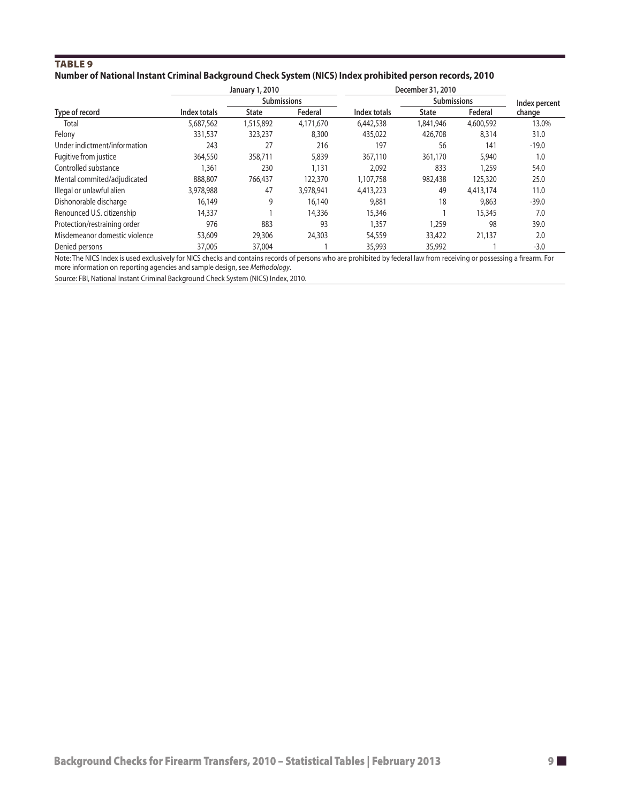# TABLE<sub>9</sub> **Number of National Instant Criminal Background Check System (NICS) Index prohibited person records, 2010**

|                               |              | January 1, 2010    |           |              | December 31, 2010  |           |               |  |
|-------------------------------|--------------|--------------------|-----------|--------------|--------------------|-----------|---------------|--|
|                               |              | <b>Submissions</b> |           |              | <b>Submissions</b> |           | Index percent |  |
| Type of record                | Index totals | <b>State</b>       | Federal   | Index totals | <b>State</b>       | Federal   | change        |  |
| Total                         | 5,687,562    | 1,515,892          | 4,171,670 | 6,442,538    | 1,841,946          | 4,600,592 | 13.0%         |  |
| Felony                        | 331,537      | 323,237            | 8,300     | 435,022      | 426,708            | 8,314     | 31.0          |  |
| Under indictment/information  | 243          | 27                 | 216       | 197          | 56                 | 141       | $-19.0$       |  |
| Fugitive from justice         | 364,550      | 358,711            | 5,839     | 367,110      | 361,170            | 5,940     | 1.0           |  |
| Controlled substance          | 1,361        | 230                | 1,131     | 2,092        | 833                | 1,259     | 54.0          |  |
| Mental commited/adjudicated   | 888,807      | 766,437            | 122,370   | 1,107,758    | 982,438            | 125,320   | 25.0          |  |
| Illegal or unlawful alien     | 3,978,988    | 47                 | 3,978,941 | 4,413,223    | 49                 | 4,413,174 | 11.0          |  |
| Dishonorable discharge        | 16,149       | 9                  | 16,140    | 9,881        | 18                 | 9,863     | $-39.0$       |  |
| Renounced U.S. citizenship    | 14,337       |                    | 14,336    | 15,346       |                    | 15,345    | 7.0           |  |
| Protection/restraining order  | 976          | 883                | 93        | 1,357        | 1,259              | 98        | 39.0          |  |
| Misdemeanor domestic violence | 53,609       | 29,306             | 24,303    | 54,559       | 33,422             | 21,137    | 2.0           |  |
| Denied persons                | 37,005       | 37,004             |           | 35,993       | 35,992             |           | $-3.0$        |  |

Note: The NICS Index is used exclusively for NICS checks and contains records of persons who are prohibited by federal law from receiving or possessing a firearm. For more information on reporting agencies and sample design, see *Methodology*.

Source: FBI, National Instant Criminal Background Check System (NICS) Index, 2010.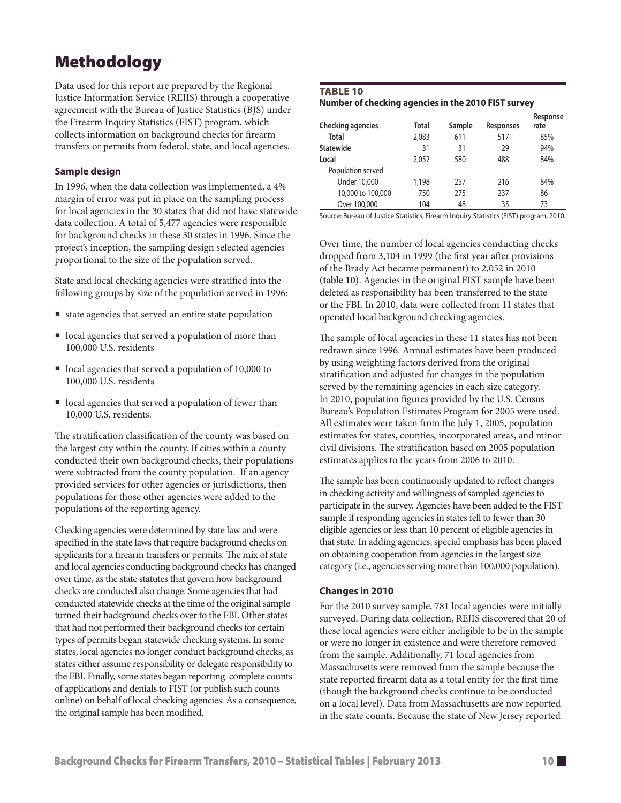# Methodology

Data used for this report are prepared by the Regional Justice Information Service (REJIS) through a cooperative agreement with the Bureau of Justice Statistics (BJS) under the Firearm Inquiry Statistics (FIST) program, which collects information on background checks for firearm transfers or permits from federal, state, and local agencies.

# **Sample design**

In 1996, when the data collection was implemented, a 4% margin of error was put in place on the sampling process for local agencies in the 30 states that did not have statewide data collection. A total of 5,477 agencies were responsible for background checks in these 30 states in 1996. Since the project's inception, the sampling design selected agencies proportional to the size of the population served.

State and local checking agencies were stratified into the following groups by size of the population served in 1996:

- state agencies that served an entire state population
- $\blacksquare$  local agencies that served a population of more than 100,000 U.S. residents
- $\blacksquare$  local agencies that served a population of 10,000 to 100,000 U.S. residents
- $\blacksquare$  local agencies that served a population of fewer than 10,000 U.S. residents.

The stratification classification of the county was based on the largest city within the county. If cities within a county conducted their own background checks, their populations were subtracted from the county population. If an agency provided services for other agencies or jurisdictions, then populations for those other agencies were added to the populations of the reporting agency.

Checking agencies were determined by state law and were specified in the state laws that require background checks on applicants for a firearm transfers or permits. The mix of state and local agencies conducting background checks has changed over time, as the state statutes that govern how background checks are conducted also change. Some agencies that had conducted statewide checks at the time of the original sample turned their background checks over to the FBI. Other states that had not performed their background checks for certain types of permits began statewide checking systems. In some states, local agencies no longer conduct background checks, as states either assume responsibility or delegate responsibility to the FBI. Finally, some states began reporting complete counts of applications and denials to FIST (or publish such counts online) on behalf of local checking agencies. As a consequence, the original sample has been modified.

# TABLE 10

**Number of checking agencies in the 2010 FIST survey**

|                                                                                        |       |        |           | Response |  |
|----------------------------------------------------------------------------------------|-------|--------|-----------|----------|--|
| Checking agencies                                                                      | Total | Sample | Responses | rate     |  |
| Total                                                                                  | 2.083 | 611    | 517       | 85%      |  |
| Statewide                                                                              | 31    | 31     | 29        | 94%      |  |
| Local                                                                                  | 2,052 | 580    | 488       | 84%      |  |
| Population served                                                                      |       |        |           |          |  |
| <b>Under 10,000</b>                                                                    | 1,198 | 257    | 216       | 84%      |  |
| 10,000 to 100,000                                                                      | 750   | 275    | 237       | 86       |  |
| Over 100,000                                                                           | 104   | 48     | 35        | 73       |  |
| Source: Bureau of Justice Statistics, Firearm Inquiry Statistics (FIST) program, 2010. |       |        |           |          |  |

Over time, the number of local agencies conducting checks dropped from 3,104 in 1999 (the first year after provisions of the Brady Act became permanent) to 2,052 in 2010 **(table 10)**. Agencies in the original FIST sample have been deleted as responsibility has been transferred to the state or the FBI. In 2010, data were collected from 11 states that operated local background checking agencies.

The sample of local agencies in these 11 states has not been redrawn since 1996. Annual estimates have been produced by using weighting factors derived from the original stratification and adjusted for changes in the population served by the remaining agencies in each size category. In 2010, population figures provided by the U.S. Census Bureau's Population Estimates Program for 2005 were used. All estimates were taken from the July 1, 2005, population estimates for states, counties, incorporated areas, and minor civil divisions. The stratification based on 2005 population estimates applies to the years from 2006 to 2010.

The sample has been continuously updated to reflect changes in checking activity and willingness of sampled agencies to participate in the survey. Agencies have been added to the FIST sample if responding agencies in states fell to fewer than 30 eligible agencies or less than 10 percent of eligible agencies in that state. In adding agencies, special emphasis has been placed on obtaining cooperation from agencies in the largest size category (i.e., agencies serving more than 100,000 population).

# **Changes in 2010**

For the 2010 survey sample, 781 local agencies were initially surveyed. During data collection, REJIS discovered that 20 of these local agencies were either ineligible to be in the sample or were no longer in existence and were therefore removed from the sample. Additionally, 71 local agencies from Massachusetts were removed from the sample because the state reported firearm data as a total entity for the first time (though the background checks continue to be conducted on a local level). Data from Massachusetts are now reported in the state counts. Because the state of New Jersey reported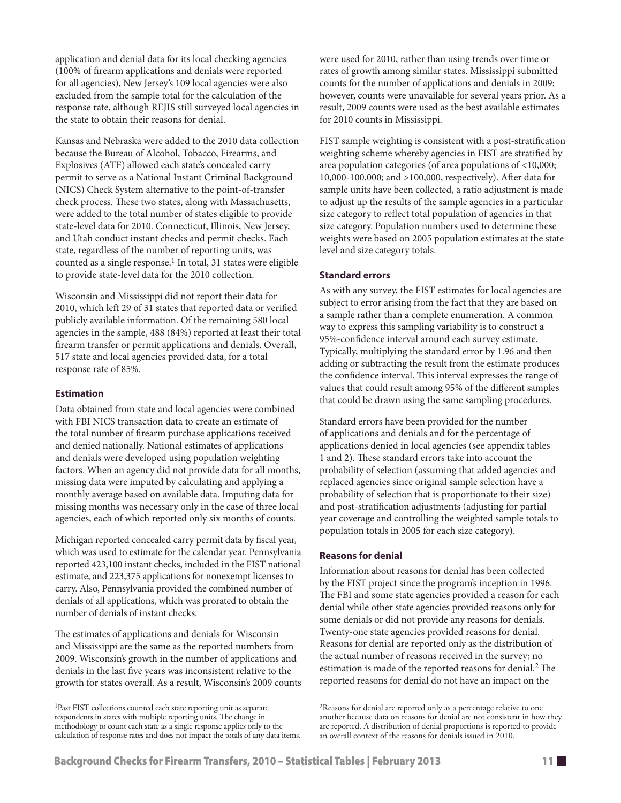application and denial data for its local checking agencies (100% of firearm applications and denials were reported for all agencies), New Jersey's 109 local agencies were also excluded from the sample total for the calculation of the response rate, although REJIS still surveyed local agencies in the state to obtain their reasons for denial.

Kansas and Nebraska were added to the 2010 data collection because the Bureau of Alcohol, Tobacco, Firearms, and Explosives (ATF) allowed each state's concealed carry permit to serve as a National Instant Criminal Background (NICS) Check System alternative to the point-of-transfer check process. These two states, along with Massachusetts, were added to the total number of states eligible to provide state-level data for 2010. Connecticut, Illinois, New Jersey, and Utah conduct instant checks and permit checks. Each state, regardless of the number of reporting units, was counted as a single response.<sup>1</sup> In total, 31 states were eligible to provide state-level data for the 2010 collection.

Wisconsin and Mississippi did not report their data for 2010, which left 29 of 31 states that reported data or verified publicly available information. Of the remaining 580 local agencies in the sample, 488 (84%) reported at least their total firearm transfer or permit applications and denials. Overall, 517 state and local agencies provided data, for a total response rate of 85%.

# **Estimation**

Data obtained from state and local agencies were combined with FBI NICS transaction data to create an estimate of the total number of firearm purchase applications received and denied nationally. National estimates of applications and denials were developed using population weighting factors. When an agency did not provide data for all months, missing data were imputed by calculating and applying a monthly average based on available data. Imputing data for missing months was necessary only in the case of three local agencies, each of which reported only six months of counts.

Michigan reported concealed carry permit data by fiscal year, which was used to estimate for the calendar year. Pennsylvania reported 423,100 instant checks, included in the FIST national estimate, and 223,375 applications for nonexempt licenses to carry. Also, Pennsylvania provided the combined number of denials of all applications, which was prorated to obtain the number of denials of instant checks.

The estimates of applications and denials for Wisconsin and Mississippi are the same as the reported numbers from 2009. Wisconsin's growth in the number of applications and denials in the last five years was inconsistent relative to the growth for states overall. As a result, Wisconsin's 2009 counts were used for 2010, rather than using trends over time or rates of growth among similar states. Mississippi submitted counts for the number of applications and denials in 2009; however, counts were unavailable for several years prior. As a result, 2009 counts were used as the best available estimates for 2010 counts in Mississippi.

FIST sample weighting is consistent with a post-stratification weighting scheme whereby agencies in FIST are stratified by area population categories (of area populations of <10,000; 10,000-100,000; and >100,000, respectively). After data for sample units have been collected, a ratio adjustment is made to adjust up the results of the sample agencies in a particular size category to reflect total population of agencies in that size category. Population numbers used to determine these weights were based on 2005 population estimates at the state level and size category totals.

# **Standard errors**

As with any survey, the FIST estimates for local agencies are subject to error arising from the fact that they are based on a sample rather than a complete enumeration. A common way to express this sampling variability is to construct a 95%-confidence interval around each survey estimate. Typically, multiplying the standard error by 1.96 and then adding or subtracting the result from the estimate produces the confidence interval. This interval expresses the range of values that could result among 95% of the different samples that could be drawn using the same sampling procedures.

Standard errors have been provided for the number of applications and denials and for the percentage of applications denied in local agencies (see appendix tables 1 and 2). These standard errors take into account the probability of selection (assuming that added agencies and replaced agencies since original sample selection have a probability of selection that is proportionate to their size) and post-stratification adjustments (adjusting for partial year coverage and controlling the weighted sample totals to population totals in 2005 for each size category).

# **Reasons for denial**

Information about reasons for denial has been collected by the FIST project since the program's inception in 1996. The FBI and some state agencies provided a reason for each denial while other state agencies provided reasons only for some denials or did not provide any reasons for denials. Twenty-one state agencies provided reasons for denial. Reasons for denial are reported only as the distribution of the actual number of reasons received in the survey; no estimation is made of the reported reasons for denial.<sup>2</sup> The reported reasons for denial do not have an impact on the

<sup>1</sup>Past FIST collections counted each state reporting unit as separate respondents in states with multiple reporting units. The change in methodology to count each state as a single response applies only to the calculation of response rates and does not impact the totals of any data items.

<sup>2</sup>Reasons for denial are reported only as a percentage relative to one another because data on reasons for denial are not consistent in how they are reported. A distribution of denial proportions is reported to provide an overall context of the reasons for denials issued in 2010.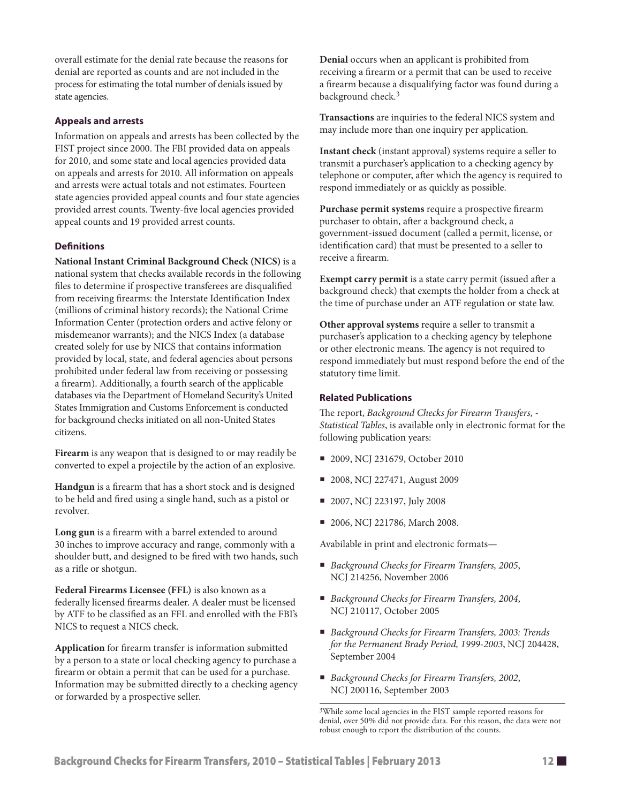overall estimate for the denial rate because the reasons for denial are reported as counts and are not included in the process for estimating the total number of denials issued by state agencies.

# **Appeals and arrests**

Information on appeals and arrests has been collected by the FIST project since 2000. The FBI provided data on appeals for 2010, and some state and local agencies provided data on appeals and arrests for 2010. All information on appeals and arrests were actual totals and not estimates. Fourteen state agencies provided appeal counts and four state agencies provided arrest counts. Twenty-five local agencies provided appeal counts and 19 provided arrest counts.

# **Definitions**

**National Instant Criminal Background Check (NICS)** is a national system that checks available records in the following files to determine if prospective transferees are disqualified from receiving firearms: the Interstate Identification Index (millions of criminal history records); the National Crime Information Center (protection orders and active felony or misdemeanor warrants); and the NICS Index (a database created solely for use by NICS that contains information provided by local, state, and federal agencies about persons prohibited under federal law from receiving or possessing a firearm). Additionally, a fourth search of the applicable databases via the Department of Homeland Security's United States Immigration and Customs Enforcement is conducted for background checks initiated on all non-United States citizens.

**Firearm** is any weapon that is designed to or may readily be converted to expel a projectile by the action of an explosive.

**Handgun** is a firearm that has a short stock and is designed to be held and fired using a single hand, such as a pistol or revolver.

**Long gun** is a firearm with a barrel extended to around 30 inches to improve accuracy and range, commonly with a shoulder butt, and designed to be fired with two hands, such as a rifle or shotgun.

**Federal Firearms Licensee (FFL)** is also known as a federally licensed firearms dealer. A dealer must be licensed by ATF to be classified as an FFL and enrolled with the FBI's NICS to request a NICS check.

**Application** for firearm transfer is information submitted by a person to a state or local checking agency to purchase a firearm or obtain a permit that can be used for a purchase. Information may be submitted directly to a checking agency or forwarded by a prospective seller.

**Denial** occurs when an applicant is prohibited from receiving a firearm or a permit that can be used to receive a firearm because a disqualifying factor was found during a background check.3

**Transactions** are inquiries to the federal NICS system and may include more than one inquiry per application.

**Instant check** (instant approval) systems require a seller to transmit a purchaser's application to a checking agency by telephone or computer, after which the agency is required to respond immediately or as quickly as possible.

**Purchase permit systems** require a prospective firearm purchaser to obtain, after a background check, a government-issued document (called a permit, license, or identification card) that must be presented to a seller to receive a firearm.

**Exempt carry permit** is a state carry permit (issued after a background check) that exempts the holder from a check at the time of purchase under an ATF regulation or state law.

**Other approval systems** require a seller to transmit a purchaser's application to a checking agency by telephone or other electronic means. The agency is not required to respond immediately but must respond before the end of the statutory time limit.

# **Related Publications**

The report, *Background Checks for Firearm Transfers, - Statistical Tables*, is available only in electronic format for the following publication years:

- 2009, NCJ 231679, October 2010
- 2008, NCJ 227471, August 2009
- 2007, NCJ 223197, July 2008
- 2006, NCJ 221786, March 2008.

Avabilable in print and electronic formats—

- *Background Checks for Firearm Transfers, 2005*, NCJ 214256, November 2006
- *Background Checks for Firearm Transfers, 2004*, NCJ 210117, October 2005
- *Background Checks for Firearm Transfers, 2003: Trends for the Permanent Brady Period, 1999-2003*, NCJ 204428, September 2004
- *Background Checks for Firearm Transfers, 2002*, NCJ 200116, September 2003

<sup>3</sup>While some local agencies in the FIST sample reported reasons for denial, over 50% did not provide data. For this reason, the data were not robust enough to report the distribution of the counts.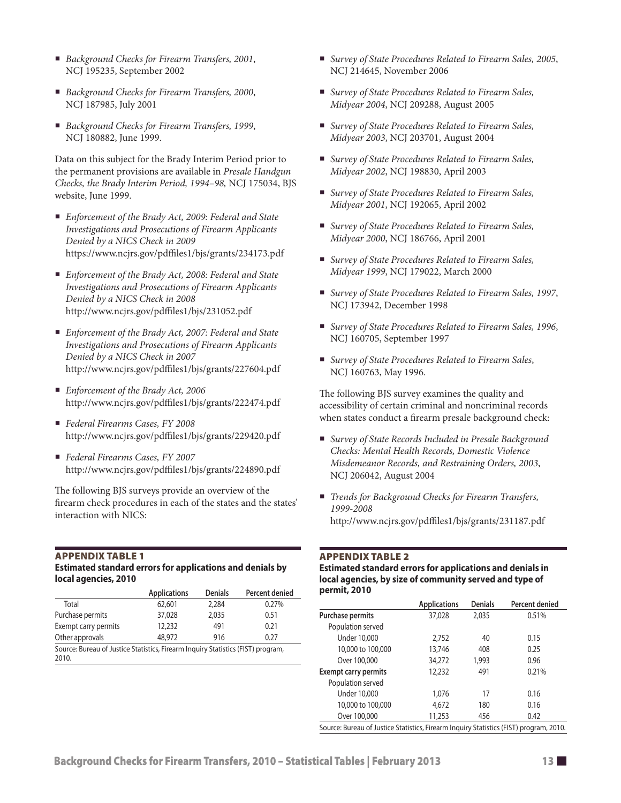- *Background Checks for Firearm Transfers, 2001*, NCJ 195235, September 2002
- *Background Checks for Firearm Transfers, 2000*, NCJ 187985, July 2001
- *Background Checks for Firearm Transfers, 1999*, NCJ 180882, June 1999.

Data on this subject for the Brady Interim Period prior to the permanent provisions are available in *Presale Handgun Checks, the Brady Interim Period, 1994–98,* NCJ 175034, BJS website, June 1999.

- *Enforcement of the Brady Act, 2009: Federal and State Investigations and Prosecutions of Firearm Applicants Denied by a NICS Check in 2009* https://www.ncjrs.gov/pdffiles1/bjs/grants/234173.pdf
- *Enforcement of the Brady Act, 2008: Federal and State Investigations and Prosecutions of Firearm Applicants Denied by a NICS Check in 2008* http://www.ncjrs.gov/pdffiles1/bjs/231052.pdf
- *Enforcement of the Brady Act, 2007: Federal and State Investigations and Prosecutions of Firearm Applicants Denied by a NICS Check in 2007* http://www.ncjrs.gov/pdffiles1/bjs/grants/227604.pdf
- *Enforcement of the Brady Act, 2006* http://www.ncjrs.gov/pdffiles1/bjs/grants/222474.pdf
- *Federal Firearms Cases, FY 2008* http://www.ncjrs.gov/pdffiles1/bjs/grants/229420.pdf
- *Federal Firearms Cases, FY 2007* http://www.ncjrs.gov/pdffiles1/bjs/grants/224890.pdf

The following BJS surveys provide an overview of the firearm check procedures in each of the states and the states' interaction with NICS:

# Appendix Table 1

**Estimated standard errors for applications and denials by local agencies, 2010**

|                      | <b>Applications</b> | <b>Denials</b> | Percent denied |
|----------------------|---------------------|----------------|----------------|
| Total                | 62,601              | 2.284          | 0.27%          |
| Purchase permits     | 37,028              | 2.035          | 0.51           |
| Exempt carry permits | 12,232              | 491            | 0.21           |
| Other approvals      | 48.972              | 916            | 0.27           |
|                      |                     |                |                |

Source: Bureau of Justice Statistics, Firearm Inquiry Statistics (FIST) program, 2010.

- *Survey of State Procedures Related to Firearm Sales, 2005*, NCJ 214645, November 2006
- *Survey of State Procedures Related to Firearm Sales, Midyear 2004*, NCJ 209288, August 2005
- *Survey of State Procedures Related to Firearm Sales, Midyear 2003*, NCJ 203701, August 2004
- *Survey of State Procedures Related to Firearm Sales, Midyear 2002*, NCJ 198830, April 2003
- *Survey of State Procedures Related to Firearm Sales, Midyear 2001*, NCJ 192065, April 2002
- *Survey of State Procedures Related to Firearm Sales, Midyear 2000*, NCJ 186766, April 2001
- *Survey of State Procedures Related to Firearm Sales, Midyear 1999*, NCJ 179022, March 2000
- *Survey of State Procedures Related to Firearm Sales, 1997*, NCJ 173942, December 1998
- *Survey of State Procedures Related to Firearm Sales, 1996*, NCJ 160705, September 1997
- *Survey of State Procedures Related to Firearm Sales*, NCJ 160763, May 1996.

The following BJS survey examines the quality and accessibility of certain criminal and noncriminal records when states conduct a firearm presale background check:

- *Survey of State Records Included in Presale Background Checks: Mental Health Records, Domestic Violence Misdemeanor Records, and Restraining Orders, 2003*, NCJ 206042, August 2004
- *Trends for Background Checks for Firearm Transfers, 1999-2008* http://www.ncjrs.gov/pdffiles1/bjs/grants/231187.pdf

#### Appendix Table 2

**Estimated standard errors for applications and denials in local agencies, by size of community served and type of permit, 2010**

|                                                                                        | <b>Applications</b> | Denials | Percent denied |  |  |
|----------------------------------------------------------------------------------------|---------------------|---------|----------------|--|--|
| Purchase permits                                                                       | 37,028              | 2,035   | 0.51%          |  |  |
| Population served                                                                      |                     |         |                |  |  |
| <b>Under 10,000</b>                                                                    | 2,752               | 40      | 0.15           |  |  |
| 10,000 to 100,000                                                                      | 13,746              | 408     | 0.25           |  |  |
| Over 100,000                                                                           | 34,272              | 1,993   | 0.96           |  |  |
| <b>Exempt carry permits</b>                                                            | 12,232              | 491     | 0.21%          |  |  |
| Population served                                                                      |                     |         |                |  |  |
| <b>Under 10,000</b>                                                                    | 1,076               | 17      | 0.16           |  |  |
| 10,000 to 100,000                                                                      | 4,672               | 180     | 0.16           |  |  |
| Over 100,000                                                                           | 11,253              | 456     | 0.42           |  |  |
| Source: Bureau of Justice Statistics, Firearm Inquiry Statistics (FIST) program, 2010. |                     |         |                |  |  |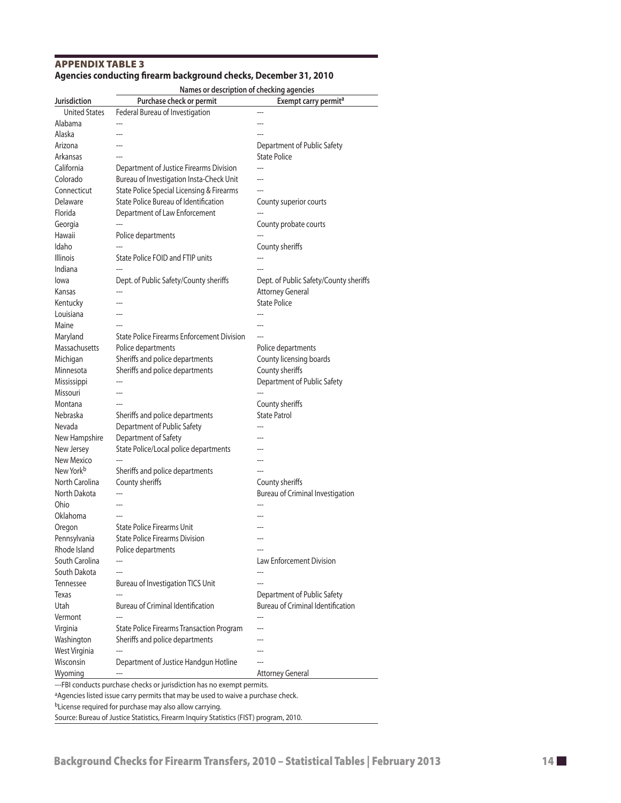# Appendix Table 3 **Agencies conducting firearm background checks, December 31, 2010**

**Names or description of checking agencies** 

| Jurisdiction                                                           | Purchase check or permit                                       | Exempt carry permit <sup>a</sup>         |  |  |  |
|------------------------------------------------------------------------|----------------------------------------------------------------|------------------------------------------|--|--|--|
| <b>United States</b>                                                   | Federal Bureau of Investigation                                |                                          |  |  |  |
| Alabama                                                                |                                                                |                                          |  |  |  |
| Alaska                                                                 |                                                                |                                          |  |  |  |
| Arizona                                                                |                                                                | Department of Public Safety              |  |  |  |
| Arkansas                                                               | ---                                                            | <b>State Police</b>                      |  |  |  |
| California                                                             | Department of Justice Firearms Division                        |                                          |  |  |  |
| Colorado                                                               | Bureau of Investigation Insta-Check Unit                       | ---                                      |  |  |  |
| Connecticut                                                            | State Police Special Licensing & Firearms                      | ---                                      |  |  |  |
| Delaware                                                               | State Police Bureau of Identification                          | County superior courts                   |  |  |  |
| Florida                                                                | Department of Law Enforcement                                  |                                          |  |  |  |
| Georgia                                                                |                                                                | County probate courts                    |  |  |  |
| Hawaii                                                                 | Police departments                                             |                                          |  |  |  |
| Idaho                                                                  |                                                                | County sheriffs                          |  |  |  |
| <b>Illinois</b>                                                        | State Police FOID and FTIP units                               |                                          |  |  |  |
| Indiana                                                                |                                                                |                                          |  |  |  |
| lowa                                                                   | Dept. of Public Safety/County sheriffs                         | Dept. of Public Safety/County sheriffs   |  |  |  |
| Kansas                                                                 | ---                                                            | <b>Attorney General</b>                  |  |  |  |
| Kentucky                                                               | ---                                                            | <b>State Police</b>                      |  |  |  |
| Louisiana                                                              |                                                                |                                          |  |  |  |
| Maine                                                                  |                                                                |                                          |  |  |  |
| Maryland                                                               | <b>State Police Firearms Enforcement Division</b>              |                                          |  |  |  |
| Massachusetts                                                          | Police departments                                             | Police departments                       |  |  |  |
| Michigan                                                               | Sheriffs and police departments                                | County licensing boards                  |  |  |  |
| Minnesota                                                              | Sheriffs and police departments                                | County sheriffs                          |  |  |  |
| Mississippi                                                            |                                                                | Department of Public Safety              |  |  |  |
| Missouri                                                               |                                                                |                                          |  |  |  |
| Montana                                                                |                                                                |                                          |  |  |  |
| <b>Nebraska</b>                                                        |                                                                | County sheriffs<br><b>State Patrol</b>   |  |  |  |
| Nevada                                                                 | Sheriffs and police departments<br>Department of Public Safety |                                          |  |  |  |
|                                                                        |                                                                |                                          |  |  |  |
| New Hampshire                                                          | Department of Safety                                           |                                          |  |  |  |
| New Jersey                                                             | State Police/Local police departments                          |                                          |  |  |  |
| New Mexico<br>New York <sup>b</sup>                                    |                                                                |                                          |  |  |  |
|                                                                        | Sheriffs and police departments                                |                                          |  |  |  |
| North Carolina                                                         | County sheriffs                                                | County sheriffs                          |  |  |  |
| North Dakota                                                           |                                                                | <b>Bureau of Criminal Investigation</b>  |  |  |  |
| Ohio                                                                   | ---                                                            |                                          |  |  |  |
| Oklahoma                                                               | ---                                                            |                                          |  |  |  |
| Oregon                                                                 | <b>State Police Firearms Unit</b>                              |                                          |  |  |  |
| Pennsylvania                                                           | <b>State Police Firearms Division</b>                          | ---                                      |  |  |  |
| Rhode Island                                                           | Police departments                                             |                                          |  |  |  |
| South Carolina                                                         |                                                                | Law Enforcement Division                 |  |  |  |
| South Dakota                                                           |                                                                |                                          |  |  |  |
| Tennessee                                                              | <b>Bureau of Investigation TICS Unit</b>                       |                                          |  |  |  |
| Texas                                                                  |                                                                | Department of Public Safety              |  |  |  |
| Utah                                                                   | <b>Bureau of Criminal Identification</b>                       | <b>Bureau of Criminal Identification</b> |  |  |  |
| Vermont                                                                |                                                                |                                          |  |  |  |
| Virginia                                                               | <b>State Police Firearms Transaction Program</b>               |                                          |  |  |  |
| Washington                                                             | Sheriffs and police departments                                |                                          |  |  |  |
| West Virginia                                                          | ---                                                            |                                          |  |  |  |
| Wisconsin                                                              | Department of Justice Handgun Hotline                          |                                          |  |  |  |
| Wyoming                                                                |                                                                | <b>Attorney General</b>                  |  |  |  |
| ---FBI conducts purchase checks or jurisdiction has no exempt permits. |                                                                |                                          |  |  |  |

aAgencies listed issue carry permits that may be used to waive a purchase check.

bLicense required for purchase may also allow carrying.

Source: Bureau of Justice Statistics, Firearm Inquiry Statistics (FIST) program, 2010.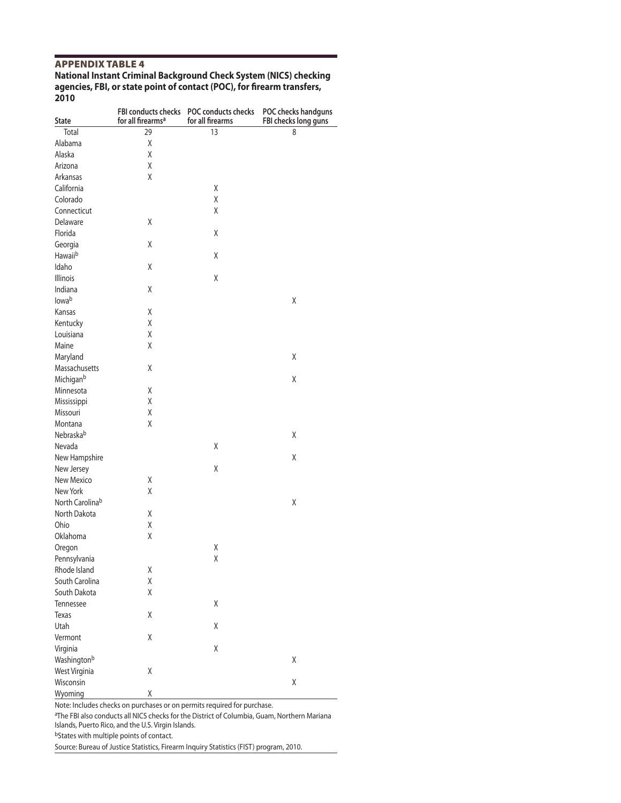#### Appendix Table 4

#### **National Instant Criminal Background Check System (NICS) checking agencies, FBI, or state point of contact (POC), for firearm transfers, 2010**

|                 | FBI conducts checks           | POC conducts checks | POC checks handguns  |
|-----------------|-------------------------------|---------------------|----------------------|
| <b>State</b>    | for all firearms <sup>a</sup> | for all firearms    | FBI checks long guns |
| Total           | 29                            | 13                  | 8                    |
| Alabama         | X                             |                     |                      |
| Alaska          | Χ                             |                     |                      |
| Arizona         | Χ                             |                     |                      |
| Arkansas        | X                             |                     |                      |
| California      |                               | Χ                   |                      |
| Colorado        |                               | Χ                   |                      |
| Connecticut     |                               | Χ                   |                      |
| Delaware        | Χ                             |                     |                      |
| Florida         |                               | Χ                   |                      |
| Georgia         | Χ                             |                     |                      |
| Hawaiib         |                               | Χ                   |                      |
| Idaho           | X                             |                     |                      |
| Illinois        |                               | Χ                   |                      |
| Indiana         | Χ                             |                     |                      |
| lowab           |                               |                     | Χ                    |
| Kansas          | Χ                             |                     |                      |
| Kentucky        | Χ                             |                     |                      |
| Louisiana       | Χ                             |                     |                      |
| Maine           | Χ                             |                     |                      |
| Maryland        |                               |                     | Χ                    |
| Massachusetts   | Χ                             |                     |                      |
| Michiganb       |                               |                     | Χ                    |
| Minnesota       | χ                             |                     |                      |
| Mississippi     | Χ                             |                     |                      |
| Missouri        | Χ                             |                     |                      |
| Montana         | Χ                             |                     |                      |
| Nebraskab       |                               |                     | X                    |
| Nevada          |                               | Χ                   |                      |
| New Hampshire   |                               |                     | Χ                    |
| New Jersey      |                               | Χ                   |                      |
| New Mexico      | χ                             |                     |                      |
| New York        | Χ                             |                     |                      |
| North Carolinab |                               |                     | Χ                    |
| North Dakota    | Χ                             |                     |                      |
| Ohio            | Χ                             |                     |                      |
| Oklahoma        | Χ                             |                     |                      |
| Oregon          |                               | Χ                   |                      |
| Pennsylvania    |                               | χ                   |                      |
| Rhode Island    | Χ                             |                     |                      |
| South Carolina  | χ                             |                     |                      |
| South Dakota    | Χ                             |                     |                      |
| Tennessee       |                               | Χ                   |                      |
| Texas           | Χ                             |                     |                      |
| Utah            |                               | Χ                   |                      |
|                 | χ                             |                     |                      |
| Vermont         |                               |                     |                      |
| Virginia        |                               | Χ                   |                      |
| Washingtonb     |                               |                     | Χ                    |
| West Virginia   | Χ                             |                     |                      |
| Wisconsin       |                               |                     | Χ                    |
| Wyoming         | χ                             |                     |                      |

Note: Includes checks on purchases or on permits required for purchase.

aThe FBI also conducts all NICS checks for the District of Columbia, Guam, Northern Mariana

Islands, Puerto Rico, and the U.S. Virgin Islands.

bStates with multiple points of contact.

Source: Bureau of Justice Statistics, Firearm Inquiry Statistics (FIST) program, 2010.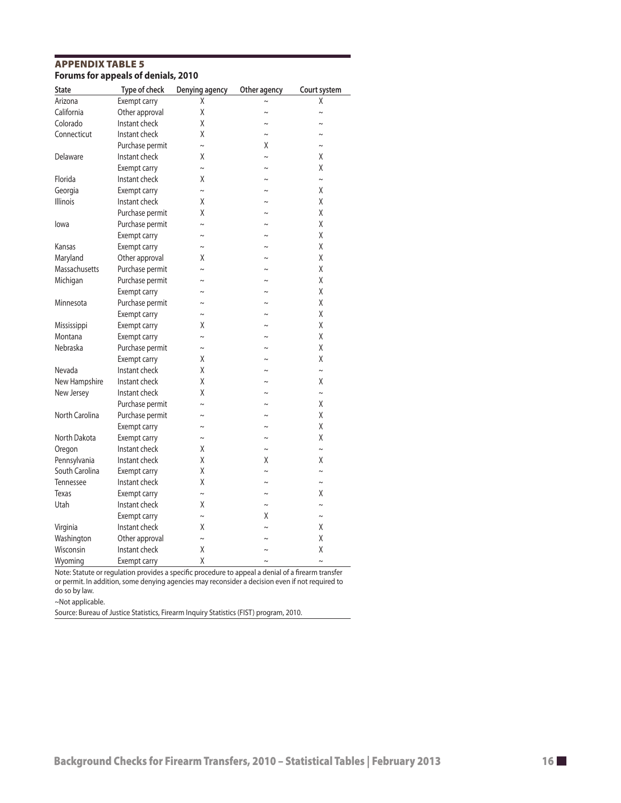# Appendix Table 5 **Forums for appeals of denials, 2010**

| State           | Type of check   | Denying agency | Other agency | Court system |
|-----------------|-----------------|----------------|--------------|--------------|
| Arizona         | Exempt carry    | χ              |              | Χ            |
| California      | Other approval  | Χ              | $\sim$       | $\sim$       |
| Colorado        | Instant check   | Χ              | $\tilde{}$   | $\tilde{}$   |
| Connecticut     | Instant check   | Χ              | $\sim$       | $\sim$       |
|                 | Purchase permit | $\sim$         | Χ            | $\sim$       |
| Delaware        | Instant check   | Χ              | $\sim$       | Χ            |
|                 | Exempt carry    | $\sim$         | $\sim$       | χ            |
| Florida         | Instant check   | Χ              | $\sim$       | $\sim$       |
| Georgia         | Exempt carry    | $\sim$         | $\sim$       | Χ            |
| <b>Illinois</b> | Instant check   | Χ              | $\sim$       | χ            |
|                 | Purchase permit | Χ              | $\sim$       | Χ            |
| lowa            | Purchase permit | $\sim$         | $\sim$       | Χ            |
|                 | Exempt carry    | $\sim$         | $\sim$       | χ            |
| Kansas          | Exempt carry    | $\sim$         | $\sim$       | Χ            |
| Maryland        | Other approval  | Χ              | $\sim$       | Χ            |
| Massachusetts   | Purchase permit | $\sim$         | $\sim$       | Χ            |
| Michigan        | Purchase permit | $\sim$         | $\tilde{}$   | χ            |
|                 | Exempt carry    | $\sim$         | $\sim$       | Χ            |
| Minnesota       | Purchase permit | $\sim$         | $\sim$       | Χ            |
|                 | Exempt carry    | $\sim$         | $\tilde{}$   | χ            |
| Mississippi     | Exempt carry    | Χ              | $\sim$       | χ            |
| Montana         | Exempt carry    | $\sim$         | $\sim$       | χ            |
| Nebraska        | Purchase permit | $\sim$         | $\sim$       | Χ            |
|                 | Exempt carry    | Χ              | $\sim$       | χ            |
| Nevada          | Instant check   | Χ              | $\tilde{}$   | $\sim$       |
| New Hampshire   | Instant check   | Χ              | $\sim$       | χ            |
| New Jersey      | Instant check   | Χ              | $\tilde{}$   | $\sim$       |
|                 | Purchase permit | $\sim$         | $\sim$       | χ            |
| North Carolina  | Purchase permit | $\sim$         | $\tilde{}$   | χ            |
|                 | Exempt carry    | $\sim$         | $\sim$       | Χ            |
| North Dakota    | Exempt carry    | $\sim$         | $\sim$       | χ            |
| Oregon          | Instant check   | Χ              | $\sim$       | $\sim$       |
| Pennsylvania    | Instant check   | χ              | Χ            | Χ            |
| South Carolina  | Exempt carry    | Χ              | $\sim$       | $\sim$       |
| Tennessee       | Instant check   | Χ              | $\sim$       | $\sim$       |
| Texas           | Exempt carry    | $\sim$         | $\tilde{}$   | χ            |
| Utah            | Instant check   | Χ              | $\sim$       | $\sim$       |
|                 | Exempt carry    | $\sim$         | Χ            | $\sim$       |
| Virginia        | Instant check   | Χ              | $\sim$       | χ            |
| Washington      | Other approval  | $\sim$         |              | Χ            |
| Wisconsin       | Instant check   | Χ              | $\sim$       | χ            |
| Wyoming         | Exempt carry    | χ              | $\sim$       | $\sim$       |

Note: Statute or regulation provides a specific procedure to appeal a denial of a firearm transfer or permit. In addition, some denying agencies may reconsider a decision even if not required to do so by law.

~Not applicable.

Source: Bureau of Justice Statistics, Firearm Inquiry Statistics (FIST) program, 2010.